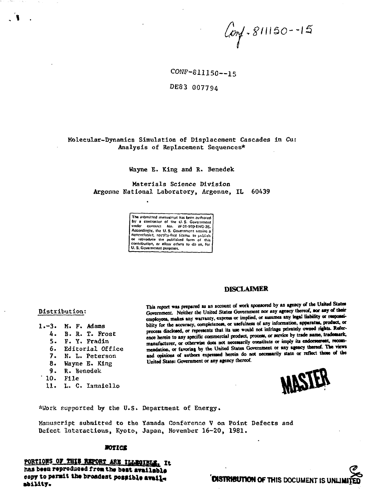$Covf - 811150 - 15$ 

CONF-811150 -- 15

DE83 007794

# Molecular-Dynamics Simulation of Displacement Cascades in Cu: Analysis of Replacement Sequences\*

### Wayne E. King and R. Benedek

Materials Science Division Argonne National Laboratory, Argonne, IL 60439



# **DISCLAIMER**

## Distribution:

- 1.-3. M. F. Adams
	- B. R. T. Frost Δ.
	- $5.$ F. Y. Fradin
	- 6. Editorial Office
	- 7. N. L. Peterson
	- $\mathbf{R}$ Wayne E. King
	- 9. R. Benedek
	- $10.$  File
	- 11. L. C. Ianniello

This report was prepared as an account of work sponsored by an agency of the United States Government. Neither the United States Government nor any agency thereof, nor any of their employees, makes any warranty, express or implied, or assumes any legal liability or responsibility for the accuracy, completeness, or usefulness of any information, apparatus, product, or process disclosed, or represents that its use would not infringe privately owned rights. Reference herein to any specific commercial product, process, or service by trade name, trademark, manufacturer, or otherwise does not necessarily constitute or imply its endorsement, recommendation, or favoring by the United States Government or any agency thereof. The views and opinions of authors expressed herein do not necessarily state or reflect those of the United States Government or any agency thereof.



\*Work supported by the U.S. Department of Energy.

Manuscript submitted to the Yamada Conference V on Point Defects and Defect Interactions, Kyoto, Japan, November 16-20, 1981.

## **NOTICE**

PORTIONS OF THIS REPORT ARE ILLEGIBLE, It has been reproduced from the best available copy to permit the broadest possible availsbility.

# **DISTRIBUTION OF THIS DOCUMENT IS UNLI**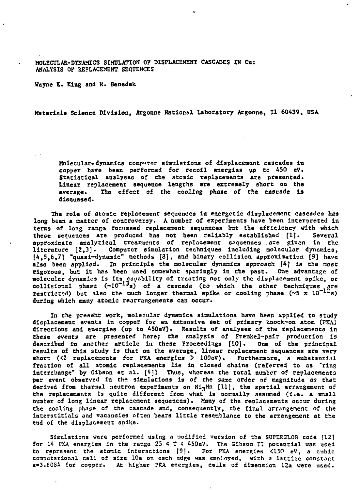**MOLECULAR-DYNAMICS SIMULATION OF DISPLACEMENT CASCADES IN Cu: ANALYSIS OP REPLACEMENT SEQUENCES**

**Wayne E. King and R. Benedek**

**Materials Science Division, Argonne National Laboratory Argonne, II 60439, USA**

**Molecular-dynamics comp«f»r simulations of displacement cascades In copper have been performed for recoil energies up to 450 eV. Statistical analyses of the atomic replacements are presented. Linear replacement sequence lengths are extremely short on the average. The effect of the cooling phase of the cascade is discussed.**

**The role of atomic replacement sequences In energetic displacement cascades has long been a natter of controversy. A number of experiments have been interpreted In terns of long range focussed replacement sequences but the efficiency with which these sequences are produced has not been reliably established [1]. Several approximate analytical treatments of replacement sequences .are given in the literature [2,3]. Computer simulation techniques including molecular dynamics, [4,3,6,7] "quasi-dynamic" methods [8], and binary collision approximation [9] have** also been applied. In principle the molecular dynamics approach [4] is the most **rigorous, but It has been used somewhat sparingly In the past. One advantage of molecular dynamics is its capability of treating not only the displacement spike, or collislonsl phase (~10~"s) of a cascade (to which the other techniques are restricted)** but also the much longer thermal spike or cooling phase  $(\sim 5 \times 10^{-12} \text{s})$ **during which many atomic rearrangements can occur.**

In the present work, molecular dynamics simulations have been applied to study **displacement events in copper for an extensive set of primary knock-on atom (PKA) directions and energies (up to 450eV). Results of analyses of the replacements in these events are presented here; the analysis of Frenkel-pair production Is described in another article in these Proceedings [10]. One of the principal results of this study is that on the average, linear replacement sequences are very •hort (<2 replacements for PKA energies > lOOeV). Furthermore, a substantial fraction of all atomic replacements lie in closed chains (referred to as 'ring Interchange" by Gibson et al. [4]) Thus, whereas the total number of replacements per event observed in the simulations is of the same order of magnitude as that derived from thermal neutron experiments on Ni3Mn [11], the spatial arrangement of the replacements is quite different from what is normally assumed (i.e. a small number of long linear replacement sequences). Many of the replacements occur during the cooling phase of the cascade and, consequently, the final arrangement of the interstitials and vacancies often bears little resemblance to the arrangement at the end of the displacement spike•**

**Simulations were performed using a modified version of the SUPERGLOB code [12] for 14 PKA energies in the range 25 < T « 450eV. The Gibson II potential was used to represent the atomic interactions [9]. For PKA energies <150 eV, a cubic computational cell of size 10a on each edge was employed, with a lattice constant S-3.608A for copper. At higher PKA energies, ceils of dimension 12a were used.**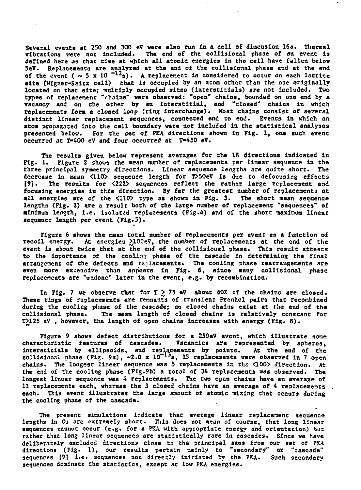Several events at 250 and 300 eV were also run in a cell of dimension 16a. Thermal<br>vibrations were not included. The end of the collisional phase of an event is The end of the collisional phase of an event is **defined here as that time at which all atomic energies in the cell have fallen below SeV. Replacements are analyzed at the end of the collisional phase and at the end** of the event  $(\sim 5 \times 10^{-12})$ . A replacement is considered to occur on each lattice **site (Wigner-Seitz cell) that is occupied by an atom other than the one originally located on that site; multiply occupied sites (interstitials) are not Included. Two types of replacement "chains" were observed: "open" chains, bounded on one end by a vacancy and on the other by an interstitial, and "closed" chains in which replacements fora a closed loop (ring interchange). Most chains consist of several distinct linear replacement sequences, connected end to end. Events in which an atom propagated into the cell boundary were not Included in the statistical analyses presented below. For the see of PKA directions shown in Fig. 1, one such event occurred at T-400 eV and four occurred at T-450 eV.**

**The results given below represent averages for the 18 directions Indicated In Fig. 1. Figure 2 shows the mean number of replacements per linear sequence in the three principal symmetry directions. Linear sequence lengths are quite short. The decrease in mean <110> sequence length for T>50eV Is due to defocusing effects [9]. The results for <222> sequences reflect the rather large replacement and focusing energies in this direction. By far the greatest number of replacements at all energies are of the <110> type as shown in Fig. 3. The short mean sequence lengths (Fig. 2) are a result both of the large number of replacement "sequences" of minimum length, i.e. Isolated replacements (Fig.4) and of the short maximum linear sequence length per event (Fig.5).**

**Figure 6 shows the mean total number of replacements per event as a function of** recoil energy. At energies 2100eV, the number of replacements at the end of the **event is about twice that at the end of the collisional phase. This result attests to the importance of the cooling phase of the cascade in determining the final arrangement of the defects and replacements. The cooling phase rearrangements are even more extensive than appears in Fig. 6, since many collisional phase replacements are "undone" later in the event, e.g. by recombination.**

**In Fig. 7 we observe that for T > 75 eV about 60Z of the chains are closed. These rings of replacements are remnants of transient Frenkel pairs that recorabined during the cooling phase of the cascade; no closed chains exist at the end of the collisional phase. The mean length of closed chains is relatively constant for T>125 eV , however, the length of open chains increases with energy (Fig. 8) .**

**Figure 9 shows defect distributions for a 250eV event, which illustrate some characteristic features of cascades. Vacancies are represented by spheres, intersticlals by ellipsoids, and replacements by points. At the end of the** collisional phase (Fig. 9a), ~2.0 x lO<sup>-19</sup>s, l5 replacements were observed in 7 open **chains. The longest linear sequence was 5 replacements in the <100> direction. At the end of the cooling phase (Fig.9b) a total of 34 replacements was observed. The longest linear sequence was 4 replacements. The two open chains have an average of 11 replacements each, whereas the 3 closed chains have an average of 4 replacements each. This event illustrates the large amount of atomic nixing that occurs during the cooling phase of the cascade.**

**The present simulations indicate that average linear replacement sequence lengths in Cu are extremely short. This does not mean of course, that long linear sequences cannot occur (e.g. for a PKA with appropriate energy and orientation) but rather Chat long linear sequences are statistically rare in cascades. Since we have deliberately excluded directions close to the principal axes from our sec of PKA directions (Fig. 1), our results pertain mainly to "secondary" or "cascade" sequences (91 i.e. sequences not directly initiated by the PKA. Such secondary sequences dominate Che statistics, except at low PKA energies.**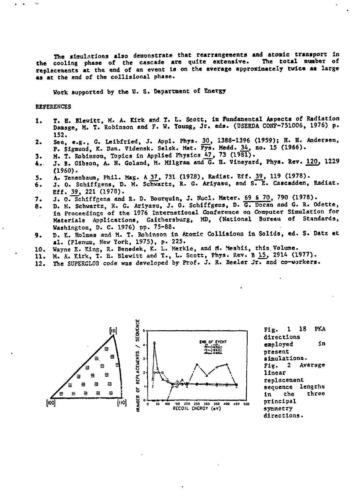The simulations also demonstrate that rearrangements and atomic transport in<br>cooling phase of the cascade are quite extensive. The total number of the cooling phase of the cascade are quite extensive. **replacements at the end of an event Is on the average approximately twice as large as at the end of the colllsional phase.**

**Work supported by the U. S. Department of Energy**

#### **REFERENCES**

٠.,

- **1. T. E. Blewitt, H. A. Kirk and T. L. Scott, In Fundanental Aspects of Radiation Damage, M. T. Robinson and F. W. Toung, Jr. eds. (USERDA CONF-751006, 1976) p. 152.**
- **2. See, e.g., G. Leibfrled, J. Appl. Phys. \_3£, 1388-1396 (1959); H. H. Andersen, P. Sigmund, K. Dan. Vidensk. Selsk. Mat. Fys. Medd. J4.t no. 15 (1966).**
- 
- **3. M. T. Robinson, Topics in Applied Physics 47, 73 (1981).**<br>**4. J. B. Gibson, A. N. Goland, M. Milgram and G. H. Vineyar 4. J. B. Gibson, A. N. Goland, M. Milgram and G. H. Vineyard, Phya. Rev. 120, 1229**
- A. Tenenbaum, Phil. Mag. A 37, 731 (1978), Radiat. Eff. 39, 119 (1978).
- **5.** A. Tenenbaum, Phil. Mag. A 37, 731 (1978), Radiat. Eff. 39, 119 (1976).<br>6. J. O. Schiffgens, D. M. Schwartz, R. G. Ariyasu, and S. E. Cascadden, Radiat. *Eff.* **39, 221 (1978).**
- J. O. Schiffgens and R. D. Bourquin, J. Nucl. Mater. 69 & 70, 790 (1978).  $7.$
- 8. D. M. Schwartz, R. G. Ariyasu, J. O. Schiffgens, D. G. Doran and G. R. Odette, in Proceedings of the 1976 International Conference on Computer Simulation for Materials Applications, Gaithersburg, MD, (National Bureau of Standards, Washington, D. C. 1976) pp. 75-88.
- D. K. Holmes and M. T. Robinson in Atomic Collisions in Solids, ed. S. Datz et 9. **21. (Plenum, New York, 1975), p. 225.**
- 10. Wayne E. King, R. Benedek, K. L. Merkle, and M. Meshii, this Volume.
- 11. M. A. Kirk, T. H. Blewitt and T., L. Scott, Phys. Rev. B 15, 2914 (1977).
- 12. The SUPERGLOB code was developed by Prof. J. R. Beeler Jr. and co-workers. **12. The StfPERGLOB code was developed by Prof. J. R. Beeler Jr. and co-workers.**